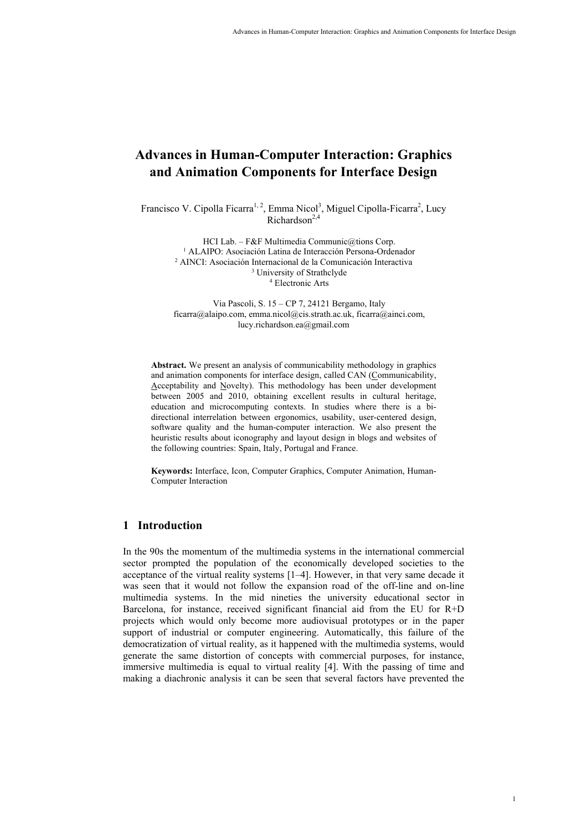# **Advances in Human-Computer Interaction: Graphics and Animation Components for Interface Design**

Francisco V. Cipolla Ficarra<sup>1, 2</sup>, Emma Nicol<sup>3</sup>, Miguel Cipolla-Ficarra<sup>2</sup>, Lucy Richardson<sup>2,4</sup>

HCI Lab. – F&F Multimedia Communic@tions Corp. <sup>1</sup> ALAIPO: Asociación Latina de Interacción Persona-Ordenador<br><sup>2</sup> AINCU: Asociación Internacional de la Comunicación Interactiva AINCI: Asociación Internacional de la Comunicación Interactiva 3 <sup>3</sup> University of Strathclyde Electronic Arts

Via Pascoli, S. 15 – CP 7, 24121 Bergamo, Italy ficarra@alaipo.com, emma.nicol@cis.strath.ac.uk, ficarra@ainci.com, lucy.richardson.ea@gmail.com

**Abstract.** We present an analysis of communicability methodology in graphics and animation components for interface design, called CAN (Communicability, Acceptability and Novelty). This methodology has been under development between 2005 and 2010, obtaining excellent results in cultural heritage, education and microcomputing contexts. In studies where there is a bidirectional interrelation between ergonomics, usability, user-centered design, software quality and the human-computer interaction. We also present the heuristic results about iconography and layout design in blogs and websites of the following countries: Spain, Italy, Portugal and France.

**Keywords:** Interface, Icon, Computer Graphics, Computer Animation, Human-Computer Interaction

#### **1 Introduction**

In the 90s the momentum of the multimedia systems in the international commercial sector prompted the population of the economically developed societies to the acceptance of the virtual reality systems [1–4]. However, in that very same decade it was seen that it would not follow the expansion road of the off-line and on-line multimedia systems. In the mid nineties the university educational sector in Barcelona, for instance, received significant financial aid from the EU for R+D projects which would only become more audiovisual prototypes or in the paper support of industrial or computer engineering. Automatically, this failure of the democratization of virtual reality, as it happened with the multimedia systems, would generate the same distortion of concepts with commercial purposes, for instance, immersive multimedia is equal to virtual reality [4]. With the passing of time and making a diachronic analysis it can be seen that several factors have prevented the **Animate Computer Interaction:** Graphics **Components for animation** Components for **interaction:** Components for Interface Design<br>
comm<sup>1, 2</sup>, Human Nearl, Miguel Capolla-Fearm<sup>2</sup>, Lacy<br>
Reservation Components for Interfa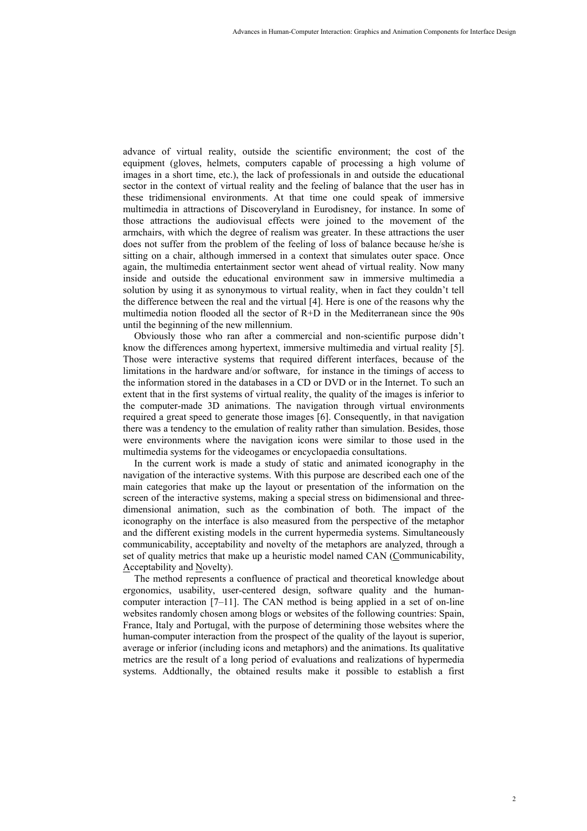advance of virtual reality, outside the scientific environment; the cost of the equipment (gloves, helmets, computers capable of processing a high volume of images in a short time, etc.), the lack of professionals in and outside the educational sector in the context of virtual reality and the feeling of balance that the user has in these tridimensional environments. At that time one could speak of immersive multimedia in attractions of Discoveryland in Eurodisney, for instance. In some of those attractions the audiovisual effects were joined to the movement of the armchairs, with which the degree of realism was greater. In these attractions the user does not suffer from the problem of the feeling of loss of balance because he/she is sitting on a chair, although immersed in a context that simulates outer space. Once again, the multimedia entertainment sector went ahead of virtual reality. Now many inside and outside the educational environment saw in immersive multimedia a solution by using it as synonymous to virtual reality, when in fact they couldn't tell the difference between the real and the virtual [4]. Here is one of the reasons why the multimedia notion flooded all the sector of R+D in the Mediterranean since the 90s until the beginning of the new millennium. A conside the scientific environment the cost of the consideration of the section in the science of the science of the considered in the science of the science of the science of the science of the science of the final cen

Obviously those who ran after a commercial and non-scientific purpose didn't know the differences among hypertext, immersive multimedia and virtual reality [5]. Those were interactive systems that required different interfaces, because of the limitations in the hardware and/or software, for instance in the timings of access to the information stored in the databases in a CD or DVD or in the Internet. To such an extent that in the first systems of virtual reality, the quality of the images is inferior to the computer-made 3D animations. The navigation through virtual environments required a great speed to generate those images [6]. Consequently, in that navigation there was a tendency to the emulation of reality rather than simulation. Besides, those were environments where the navigation icons were similar to those used in the multimedia systems for the videogames or encyclopaedia consultations.

In the current work is made a study of static and animated iconography in the navigation of the interactive systems. With this purpose are described each one of the main categories that make up the layout or presentation of the information on the screen of the interactive systems, making a special stress on bidimensional and threedimensional animation, such as the combination of both. The impact of the iconography on the interface is also measured from the perspective of the metaphor and the different existing models in the current hypermedia systems. Simultaneously communicability, acceptability and novelty of the metaphors are analyzed, through a set of quality metrics that make up a heuristic model named CAN (Communicability, Acceptability and Novelty).

The method represents a confluence of practical and theoretical knowledge about ergonomics, usability, user-centered design, software quality and the humancomputer interaction [7–11]. The CAN method is being applied in a set of on-line websites randomly chosen among blogs or websites of the following countries: Spain, France, Italy and Portugal, with the purpose of determining those websites where the human-computer interaction from the prospect of the quality of the layout is superior, average or inferior (including icons and metaphors) and the animations. Its qualitative metrics are the result of a long period of evaluations and realizations of hypermedia systems. Addtionally, the obtained results make it possible to establish a first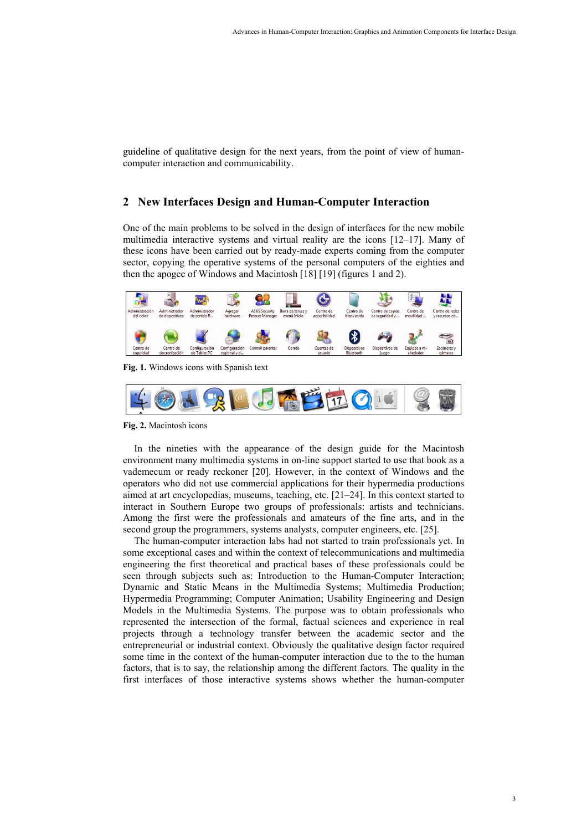guideline of qualitative design for the next years, from the point of view of humancomputer interaction and communicability.

#### **2 New Interfaces Design and Human-Computer Interaction**

One of the main problems to be solved in the design of interfaces for the new mobile multimedia interactive systems and virtual reality are the icons [12–17]. Many of these icons have been carried out by ready-made experts coming from the computer sector, copying the operative systems of the personal computers of the eighties and then the apogee of Windows and Macintosh [18] [19] (figures 1 and 2).



**Fig. 1.** Windows icons with Spanish text



**Fig. 2.** Macintosh icons

In the nineties with the appearance of the design guide for the Macintosh environment many multimedia systems in on-line support started to use that book as a vademecum or ready reckoner [20]. However, in the context of Windows and the operators who did not use commercial applications for their hypermedia productions aimed at art encyclopedias, museums, teaching, etc. [21–24]. In this context started to interact in Southern Europe two groups of professionals: artists and technicians. Among the first were the professionals and amateurs of the fine arts, and in the second group the programmers, systems analysts, computer engineers, etc. [25].

The human-computer interaction labs had not started to train professionals yet. In some exceptional cases and within the context of telecommunications and multimedia engineering the first theoretical and practical bases of these professionals could be seen through subjects such as: Introduction to the Human-Computer Interaction; Dynamic and Static Means in the Multimedia Systems; Multimedia Production; Hypermedia Programming; Computer Animation; Usability Engineering and Design Models in the Multimedia Systems. The purpose was to obtain professionals who represented the intersection of the formal, factual sciences and experience in real projects through a technology transfer between the academic sector and the entrepreneurial or industrial context. Obviously the qualitative design factor required some time in the context of the human-computer interaction due to the to the human factors, that is to say, the relationship among the different factors. The quality in the first interfaces of those interactive systems shows whether the human-computer Advances in Human-Computer Interaction: Graphics and Animation: Graphics and Animation Computer Interaction<br>
sign and Human-Computer Interactions for the new mobile<br>
of the solvential centering for the results for Interfa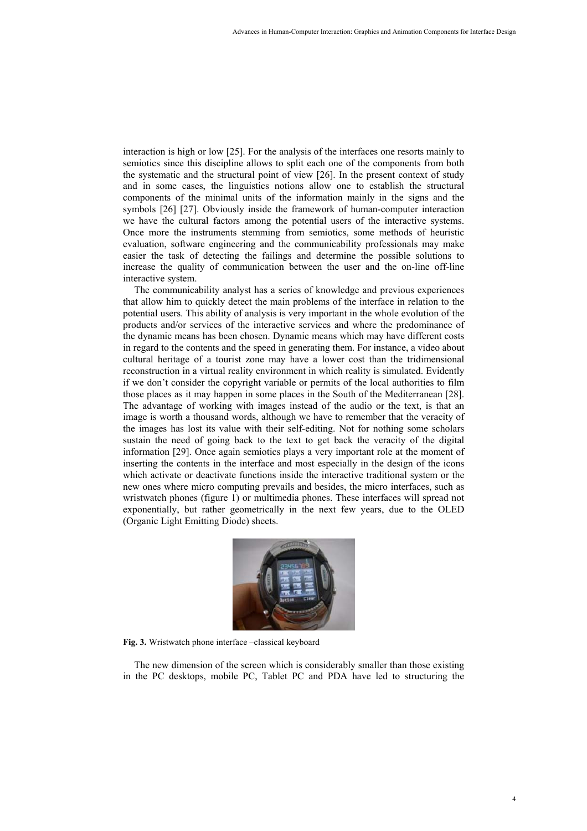interaction is high or low [25]. For the analysis of the interfaces one resorts mainly to semiotics since this discipline allows to split each one of the components from both the systematic and the structural point of view [26]. In the present context of study and in some cases, the linguistics notions allow one to establish the structural components of the minimal units of the information mainly in the signs and the symbols [26] [27]. Obviously inside the framework of human-computer interaction we have the cultural factors among the potential users of the interactive systems. Once more the instruments stemming from semiotics, some methods of heuristic evaluation, software engineering and the communicability professionals may make easier the task of detecting the failings and determine the possible solutions to increase the quality of communication between the user and the on-line off-line interactive system.

The communicability analyst has a series of knowledge and previous experiences that allow him to quickly detect the main problems of the interface in relation to the potential users. This ability of analysis is very important in the whole evolution of the products and/or services of the interactive services and where the predominance of the dynamic means has been chosen. Dynamic means which may have different costs in regard to the contents and the speed in generating them. For instance, a video about cultural heritage of a tourist zone may have a lower cost than the tridimensional reconstruction in a virtual reality environment in which reality is simulated. Evidently if we don't consider the copyright variable or permits of the local authorities to film those places as it may happen in some places in the South of the Mediterranean [28]. The advantage of working with images instead of the audio or the text, is that an image is worth a thousand words, although we have to remember that the veracity of the images has lost its value with their self-editing. Not for nothing some scholars sustain the need of going back to the text to get back the veracity of the digital information [29]. Once again semiotics plays a very important role at the moment of inserting the contents in the interface and most especially in the design of the icons which activate or deactivate functions inside the interactive traditional system or the new ones where micro computing prevails and besides, the micro interfaces, such as wristwatch phones (figure 1) or multimedia phones. These interfaces will spread not exponentially, but rather geometrically in the next few years, due to the OLED (Organic Light Emitting Diode) sheets. 25). For the analysis of the interface sine resorts mainly to the mathematic Component of substitution of the computer interaction of the content of the intermediation between the proposed in the interface proposed in the



**Fig. 3.** Wristwatch phone interface –classical keyboard

The new dimension of the screen which is considerably smaller than those existing in the PC desktops, mobile PC, Tablet PC and PDA have led to structuring the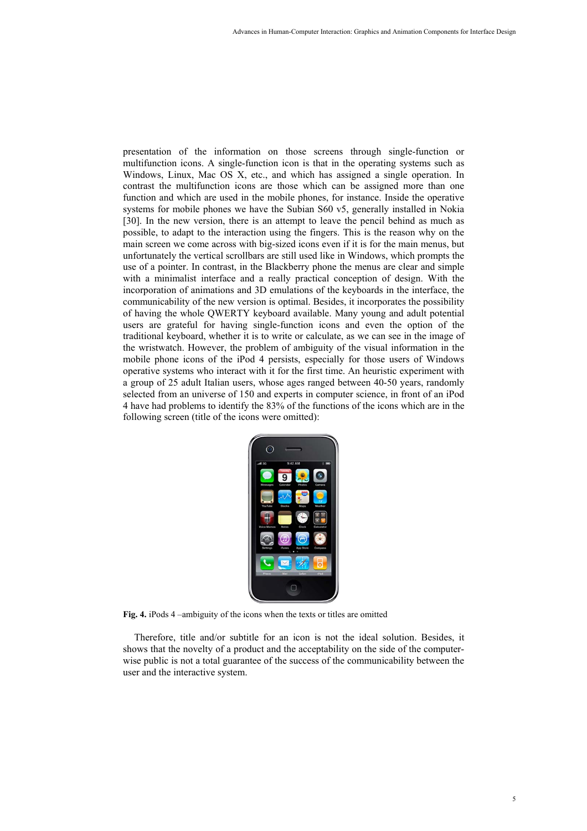presentation of the information on those screens through single-function or multifunction icons. A single-function icon is that in the operating systems such as Windows, Linux, Mac OS X, etc., and which has assigned a single operation. In contrast the multifunction icons are those which can be assigned more than one function and which are used in the mobile phones, for instance. Inside the operative systems for mobile phones we have the Subian S60 v5, generally installed in Nokia [30]. In the new version, there is an attempt to leave the pencil behind as much as possible, to adapt to the interaction using the fingers. This is the reason why on the main screen we come across with big-sized icons even if it is for the main menus, but unfortunately the vertical scrollbars are still used like in Windows, which prompts the use of a pointer. In contrast, in the Blackberry phone the menus are clear and simple with a minimalist interface and a really practical conception of design. With the incorporation of animations and 3D emulations of the keyboards in the interface, the communicability of the new version is optimal. Besides, it incorporates the possibility of having the whole QWERTY keyboard available. Many young and adult potential users are grateful for having single-function icons and even the option of the traditional keyboard, whether it is to write or calculate, as we can see in the image of the wristwatch. However, the problem of ambiguity of the visual information in the mobile phone icons of the iPod 4 persists, especially for those users of Windows operative systems who interact with it for the first time. An heuristic experiment with a group of 25 adult Italian users, whose ages ranged between 40-50 years, randomly selected from an universe of 150 and experts in computer science, in front of an iPod 4 have had problems to identify the 83% of the functions of the icons which are in the following screen (title of the icons were omitted): Advances in Human-Computer Bubardica (Englisconia Animation: Component 6, but the contribute of the computer system such as  $X$ , etc., and which has assigned a single operation. In the contribute interface Designs (more t



**Fig. 4.** iPods 4 –ambiguity of the icons when the texts or titles are omitted

Therefore, title and/or subtitle for an icon is not the ideal solution. Besides, it shows that the novelty of a product and the acceptability on the side of the computerwise public is not a total guarantee of the success of the communicability between the user and the interactive system.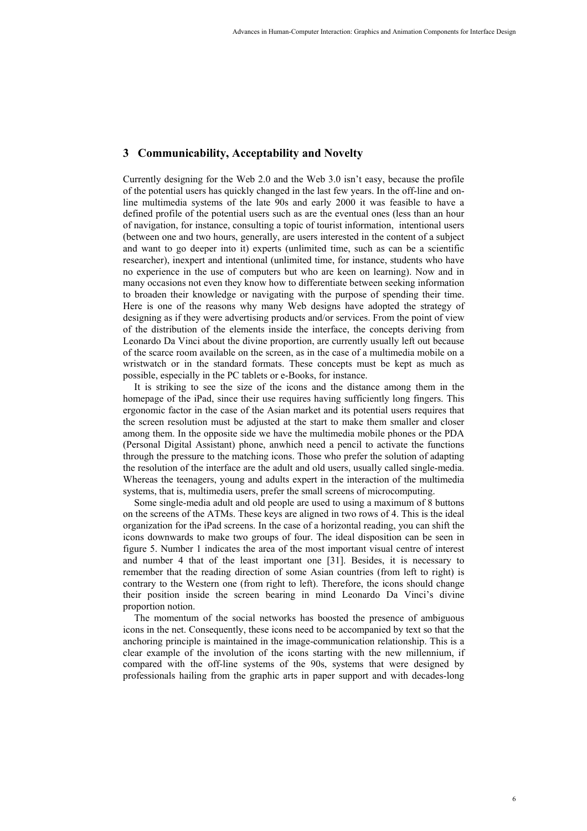#### **3 Communicability, Acceptability and Novelty**

Currently designing for the Web 2.0 and the Web 3.0 isn't easy, because the profile of the potential users has quickly changed in the last few years. In the off-line and online multimedia systems of the late 90s and early 2000 it was feasible to have a defined profile of the potential users such as are the eventual ones (less than an hour of navigation, for instance, consulting a topic of tourist information, intentional users (between one and two hours, generally, are users interested in the content of a subject and want to go deeper into it) experts (unlimited time, such as can be a scientific researcher), inexpert and intentional (unlimited time, for instance, students who have no experience in the use of computers but who are keen on learning). Now and in many occasions not even they know how to differentiate between seeking information to broaden their knowledge or navigating with the purpose of spending their time. Here is one of the reasons why many Web designs have adopted the strategy of designing as if they were advertising products and/or services. From the point of view of the distribution of the elements inside the interface, the concepts deriving from Leonardo Da Vinci about the divine proportion, are currently usually left out because of the scarce room available on the screen, as in the case of a multimedia mobile on a wristwatch or in the standard formats. These concepts must be kept as much as possible, especially in the PC tablets or e-Books, for instance. Accuracy in Human-Computer Interaction: Graphics and Animation: Graphics and Animation Computer Interaction (i.e.) We say that  $\sim 10^{-10}$  and the U.S. (i.e.) the same of  $\sim 10^{-10}$  and  $\sim 10^{-10}$  and  $\sim 10^{-10}$  and  $\$ 

It is striking to see the size of the icons and the distance among them in the homepage of the iPad, since their use requires having sufficiently long fingers. This ergonomic factor in the case of the Asian market and its potential users requires that the screen resolution must be adjusted at the start to make them smaller and closer among them. In the opposite side we have the multimedia mobile phones or the PDA (Personal Digital Assistant) phone, anwhich need a pencil to activate the functions through the pressure to the matching icons. Those who prefer the solution of adapting the resolution of the interface are the adult and old users, usually called single-media. Whereas the teenagers, young and adults expert in the interaction of the multimedia systems, that is, multimedia users, prefer the small screens of microcomputing.

Some single-media adult and old people are used to using a maximum of 8 buttons on the screens of the ATMs. These keys are aligned in two rows of 4. This is the ideal organization for the iPad screens. In the case of a horizontal reading, you can shift the icons downwards to make two groups of four. The ideal disposition can be seen in figure 5. Number 1 indicates the area of the most important visual centre of interest and number 4 that of the least important one [31]. Besides, it is necessary to remember that the reading direction of some Asian countries (from left to right) is contrary to the Western one (from right to left). Therefore, the icons should change their position inside the screen bearing in mind Leonardo Da Vinci's divine proportion notion.

The momentum of the social networks has boosted the presence of ambiguous icons in the net. Consequently, these icons need to be accompanied by text so that the anchoring principle is maintained in the image-communication relationship. This is a clear example of the involution of the icons starting with the new millennium, if compared with the off-line systems of the 90s, systems that were designed by professionals hailing from the graphic arts in paper support and with decades-long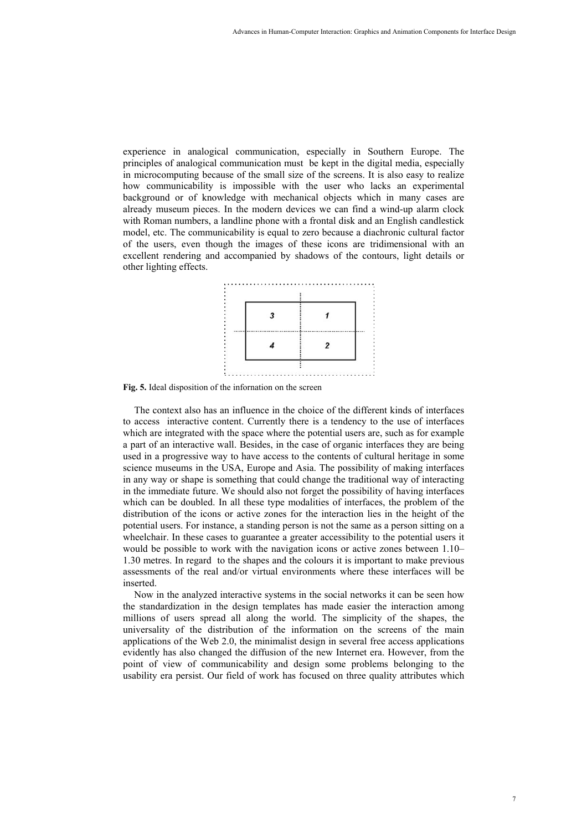experience in analogical communication, especially in Southern Europe. The principles of analogical communication must be kept in the digital media, especially in microcomputing because of the small size of the screens. It is also easy to realize how communicability is impossible with the user who lacks an experimental background or of knowledge with mechanical objects which in many cases are already museum pieces. In the modern devices we can find a wind-up alarm clock with Roman numbers, a landline phone with a frontal disk and an English candlestick model, etc. The communicability is equal to zero because a diachronic cultural factor of the users, even though the images of these icons are tridimensional with an excellent rendering and accompanied by shadows of the contours, light details or other lighting effects.



**Fig. 5.** Ideal disposition of the infornation on the screen

The context also has an influence in the choice of the different kinds of interfaces to access interactive content. Currently there is a tendency to the use of interfaces which are integrated with the space where the potential users are, such as for example a part of an interactive wall. Besides, in the case of organic interfaces they are being used in a progressive way to have access to the contents of cultural heritage in some science museums in the USA, Europe and Asia. The possibility of making interfaces in any way or shape is something that could change the traditional way of interacting in the immediate future. We should also not forget the possibility of having interfaces which can be doubled. In all these type modalities of interfaces, the problem of the distribution of the icons or active zones for the interaction lies in the height of the potential users. For instance, a standing person is not the same as a person sitting on a wheelchair. In these cases to guarantee a greater accessibility to the potential users it would be possible to work with the navigation icons or active zones between 1.10– 1.30 metres. In regard to the shapes and the colours it is important to make previous assessments of the real and/or virtual environments where these interfaces will be inserted. Communication, especially in Southern Europe. The<br>
communication must be kept that the digital media expecially<br>
correlates which the new whole lacked and experimental<br>
impossible with mechanical objects which in many cas

Now in the analyzed interactive systems in the social networks it can be seen how the standardization in the design templates has made easier the interaction among millions of users spread all along the world. The simplicity of the shapes, the universality of the distribution of the information on the screens of the main applications of the Web 2.0, the minimalist design in several free access applications evidently has also changed the diffusion of the new Internet era. However, from the point of view of communicability and design some problems belonging to the usability era persist. Our field of work has focused on three quality attributes which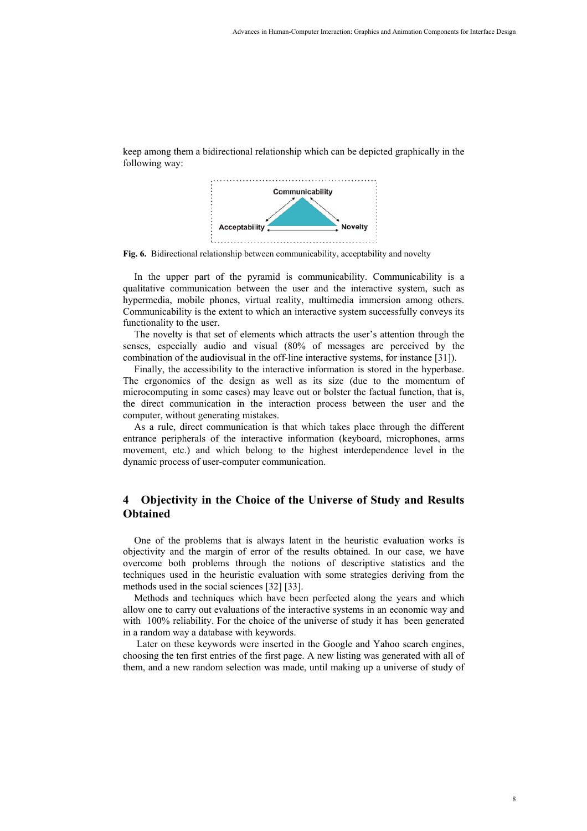keep among them a bidirectional relationship which can be depicted graphically in the following way:



**Fig. 6.** Bidirectional relationship between communicability, acceptability and novelty

In the upper part of the pyramid is communicability. Communicability is a qualitative communication between the user and the interactive system, such as hypermedia, mobile phones, virtual reality, multimedia immersion among others. Communicability is the extent to which an interactive system successfully conveys its functionality to the user.

The novelty is that set of elements which attracts the user's attention through the senses, especially audio and visual (80% of messages are perceived by the combination of the audiovisual in the off-line interactive systems, for instance [31]).

Finally, the accessibility to the interactive information is stored in the hyperbase. The ergonomics of the design as well as its size (due to the momentum of microcomputing in some cases) may leave out or bolster the factual function, that is, the direct communication in the interaction process between the user and the computer, without generating mistakes.

As a rule, direct communication is that which takes place through the different entrance peripherals of the interactive information (keyboard, microphones, arms movement, etc.) and which belong to the highest interdependence level in the dynamic process of user-computer communication.

### **4 Objectivity in the Choice of the Universe of Study and Results Obtained**

One of the problems that is always latent in the heuristic evaluation works is objectivity and the margin of error of the results obtained. In our case, we have overcome both problems through the notions of descriptive statistics and the techniques used in the heuristic evaluation with some strategies deriving from the methods used in the social sciences [32] [33]. Advances in Human-Computer but the tractic Computer Component for Interface Designations<br>
Computer Computer Interface Computer Interface Designations<br>
(between Computer Interactions: An interface Designation Computer Inter

Methods and techniques which have been perfected along the years and which allow one to carry out evaluations of the interactive systems in an economic way and with 100% reliability. For the choice of the universe of study it has been generated in a random way a database with keywords.

 Later on these keywords were inserted in the Google and Yahoo search engines, choosing the ten first entries of the first page. A new listing was generated with all of them, and a new random selection was made, until making up a universe of study of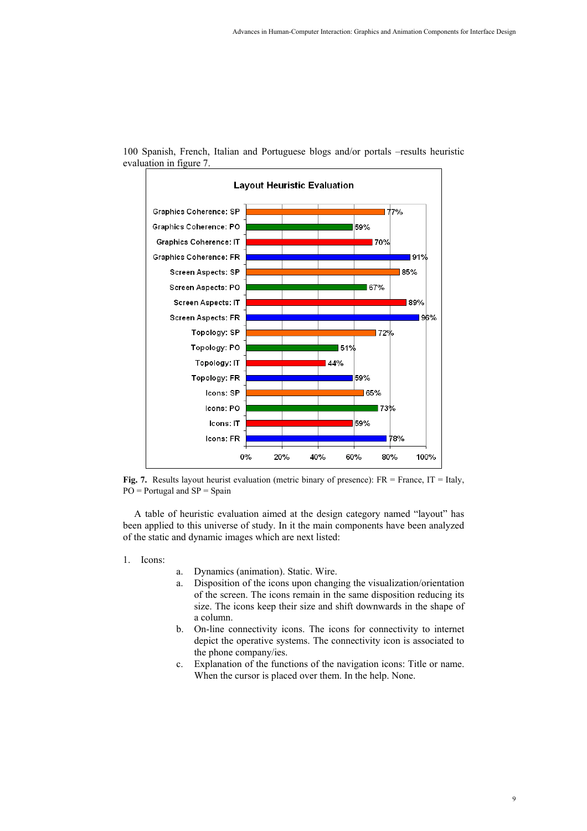

100 Spanish, French, Italian and Portuguese blogs and/or portals –results heuristic evaluation in figure 7.

Fig. 7. Results layout heurist evaluation (metric binary of presence): FR = France, IT = Italy,  $PO =$  Portugal and  $SP =$  Spain

A table of heuristic evaluation aimed at the design category named "layout" has been applied to this universe of study. In it the main components have been analyzed of the static and dynamic images which are next listed:

1. Icons:

- a. Dynamics (animation). Static. Wire.
- a. Disposition of the icons upon changing the visualization/orientation of the screen. The icons remain in the same disposition reducing its size. The icons keep their size and shift downwards in the shape of a column.
- b. On-line connectivity icons. The icons for connectivity to internet depict the operative systems. The connectivity icon is associated to the phone company/ies.
- c. Explanation of the functions of the navigation icons: Title or name. When the cursor is placed over them. In the help. None.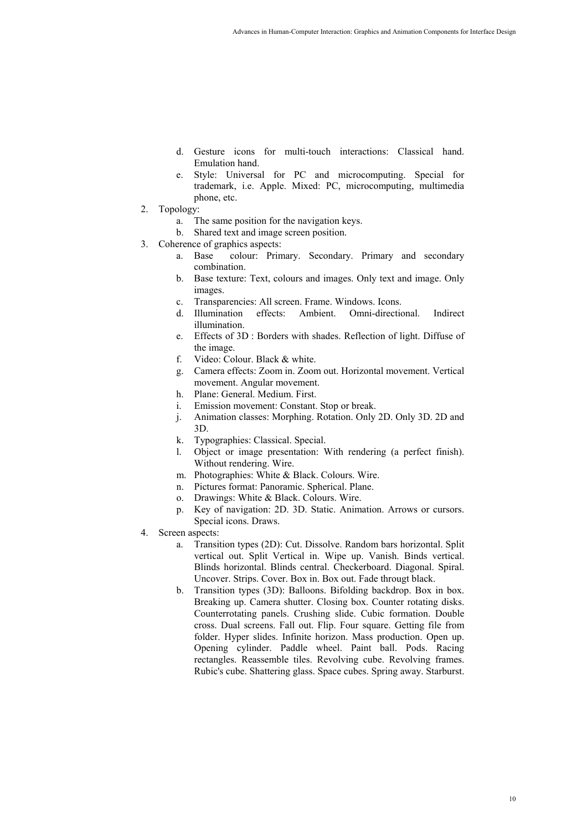- d. Gesture icons for multi-touch interactions: Classical hand. Emulation hand.
- e. Style: Universal for PC and microcomputing. Special for trademark, i.e. Apple. Mixed: PC, microcomputing, multimedia phone, etc.
- 2. Topology:
	- a. The same position for the navigation keys.
	- b. Shared text and image screen position.
- 3. Coherence of graphics aspects:
	- a. Base colour: Primary. Secondary. Primary and secondary combination.
	- b. Base texture: Text, colours and images. Only text and image. Only images.
	- c. Transparencies: All screen. Frame. Windows. Icons.
	- d. Illumination effects: Ambient. Omni-directional. Indirect illumination.
	- e. Effects of 3D : Borders with shades. Reflection of light. Diffuse of the image.
	- f. Video: Colour. Black & white.
	- g. Camera effects: Zoom in. Zoom out. Horizontal movement. Vertical movement. Angular movement.
	- h. Plane: General. Medium. First.
	- i. Emission movement: Constant. Stop or break.
	- j. Animation classes: Morphing. Rotation. Only 2D. Only 3D. 2D and 3D.
	- k. Typographies: Classical. Special.
	- l. Object or image presentation: With rendering (a perfect finish). Without rendering. Wire.
	- m. Photographies: White & Black. Colours. Wire.
	- n. Pictures format: Panoramic. Spherical. Plane.
	- o. Drawings: White & Black. Colours. Wire.
	- p. Key of navigation: 2D. 3D. Static. Animation. Arrows or cursors. Special icons. Draws.
- 4. Screen aspects:
	- a. Transition types (2D): Cut. Dissolve. Random bars horizontal. Split vertical out. Split Vertical in. Wipe up. Vanish. Binds vertical. Blinds horizontal. Blinds central. Checkerboard. Diagonal. Spiral. Uncover. Strips. Cover. Box in. Box out. Fade througt black.
- b. Transition types (3D): Balloons. Bifolding backdrop. Box in box. Breaking up. Camera shutter. Closing box. Counter rotating disks. Counterrotating panels. Crushing slide. Cubic formation. Double cross. Dual screens. Fall out. Flip. Four square. Getting file from folder. Hyper slides. Infinite horizon. Mass production. Open up. Opening cylinder. Paddle wheel. Paint ball. Pods. Racing rectangles. Reassemble tiles. Revolving cube. Revolving frames. Rubic's cube. Shattering glass. Space cubes. Spring away. Starburst. Advances in Human-Computer Interactions: Chassical hand,<br>
Human-<br>
Linux Ions for multi-touch interactions: Chassical hand,<br>
Human-<br>
Ions for PC and interaccions: Chassical for<br>
Ions interaction FC and interactions: Chassed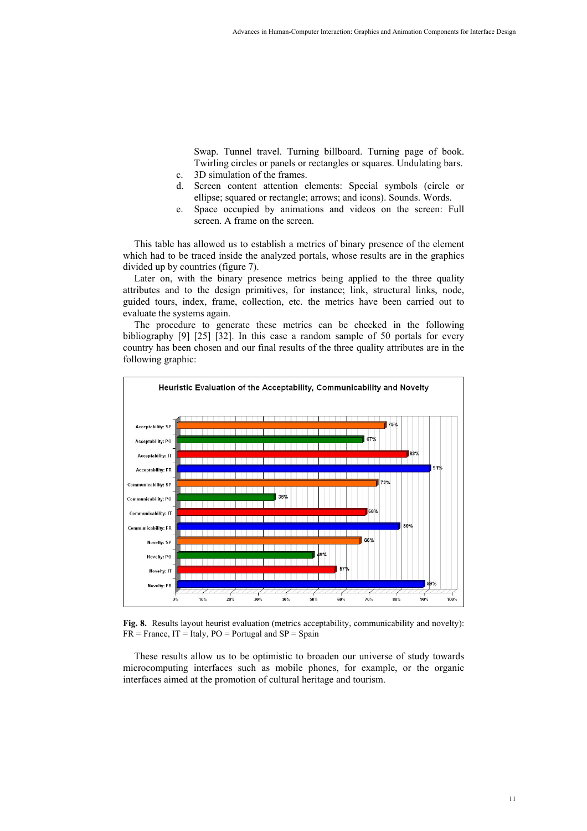Swap. Tunnel travel. Turning billboard. Turning page of book. Twirling circles or panels or rectangles or squares. Undulating bars.

- c. 3D simulation of the frames.
- d. Screen content attention elements: Special symbols (circle or ellipse; squared or rectangle; arrows; and icons). Sounds. Words.
- e. Space occupied by animations and videos on the screen: Full screen. A frame on the screen.

This table has allowed us to establish a metrics of binary presence of the element which had to be traced inside the analyzed portals, whose results are in the graphics divided up by countries (figure 7).

Later on, with the binary presence metrics being applied to the three quality attributes and to the design primitives, for instance; link, structural links, node, guided tours, index, frame, collection, etc. the metrics have been carried out to evaluate the systems again.

The procedure to generate these metrics can be checked in the following bibliography [9] [25] [32]. In this case a random sample of 50 portals for every country has been chosen and our final results of the three quality attributes are in the following graphic:



**Fig. 8.** Results layout heurist evaluation (metrics acceptability, communicability and novelty):  $FR = France$ ,  $IT = Italy$ ,  $PO = Portugal$  and  $SP = Spain$ 

These results allow us to be optimistic to broaden our universe of study towards microcomputing interfaces such as mobile phones, for example, or the organic interfaces aimed at the promotion of cultural heritage and tourism.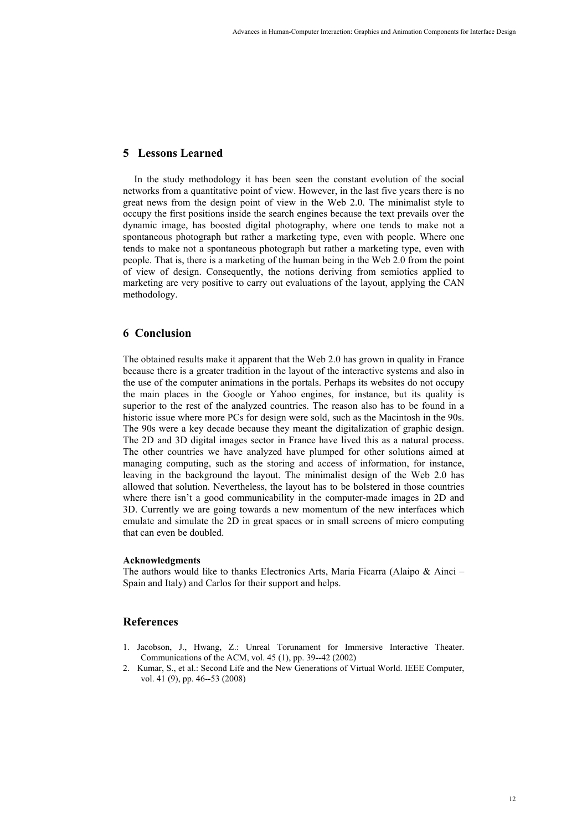#### **5 Lessons Learned**

In the study methodology it has been seen the constant evolution of the social networks from a quantitative point of view. However, in the last five years there is no great news from the design point of view in the Web 2.0. The minimalist style to occupy the first positions inside the search engines because the text prevails over the dynamic image, has boosted digital photography, where one tends to make not a spontaneous photograph but rather a marketing type, even with people. Where one tends to make not a spontaneous photograph but rather a marketing type, even with people. That is, there is a marketing of the human being in the Web 2.0 from the point of view of design. Consequently, the notions deriving from semiotics applied to marketing are very positive to carry out evaluations of the layout, applying the CAN methodology.

#### **6 Conclusion**

The obtained results make it apparent that the Web 2.0 has grown in quality in France because there is a greater tradition in the layout of the interactive systems and also in the use of the computer animations in the portals. Perhaps its websites do not occupy the main places in the Google or Yahoo engines, for instance, but its quality is superior to the rest of the analyzed countries. The reason also has to be found in a historic issue where more PCs for design were sold, such as the Macintosh in the 90s. The 90s were a key decade because they meant the digitalization of graphic design. The 2D and 3D digital images sector in France have lived this as a natural process. The other countries we have analyzed have plumped for other solutions aimed at managing computing, such as the storing and access of information, for instance, leaving in the background the layout. The minimalist design of the Web 2.0 has allowed that solution. Nevertheless, the layout has to be bolstered in those countries where there isn't a good communicability in the computer-made images in 2D and 3D. Currently we are going towards a new momentum of the new interfaces which emulate and simulate the 2D in great spaces or in small screens of micro computing that can even be doubled. Advances in Human-Computer the constant evolution of the social<br>
e point of views. However, in the Isof Ilver years there is no<br>
point of views. However, in the Isof Ilver years there is no<br>
point of views. Downer, in the

#### **Acknowledgments**

The authors would like to thanks Electronics Arts, Maria Ficarra (Alaipo  $\&$  Ainci – Spain and Italy) and Carlos for their support and helps.

## **References**

- 1. Jacobson, J., Hwang, Z.: Unreal Torunament for Immersive Interactive Theater. Communications of the ACM, vol. 45 (1), pp. 39--42 (2002)
- 2. Kumar, S., et al.: Second Life and the New Generations of Virtual World. IEEE Computer, vol. 41 (9), pp. 46--53 (2008)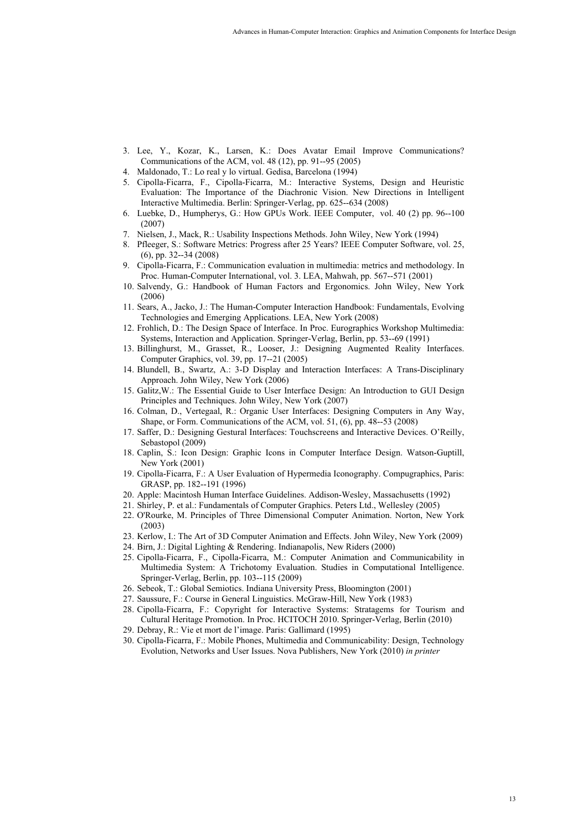- 3. Lee, Y., Kozar, K., Larsen, K.: Does Avatar Email Improve Communications? Communications of the ACM, vol. 48 (12), pp. 91--95 (2005)
- 4. Maldonado, T.: Lo real y lo virtual. Gedisa, Barcelona (1994)
- 5. Cipolla-Ficarra, F., Cipolla-Ficarra, M.: Interactive Systems, Design and Heuristic Evaluation: The Importance of the Diachronic Vision. New Directions in Intelligent Interactive Multimedia. Berlin: Springer-Verlag, pp. 625--634 (2008)
- 6. Luebke, D., Humpherys, G.: How GPUs Work. IEEE Computer, vol. 40 (2) pp. 96--100 (2007)
- 7. Nielsen, J., Mack, R.: Usability Inspections Methods. John Wiley, New York (1994)
- 8. Pfleeger, S.: Software Metrics: Progress after 25 Years? IEEE Computer Software, vol. 25, (6), pp. 32--34 (2008)
- 9. Cipolla-Ficarra, F.: Communication evaluation in multimedia: metrics and methodology. In Proc. Human-Computer International, vol. 3. LEA, Mahwah, pp. 567--571 (2001)
- 10. Salvendy, G.: Handbook of Human Factors and Ergonomics. John Wiley, New York (2006)
- 11. Sears, A., Jacko, J.: The Human-Computer Interaction Handbook: Fundamentals, Evolving Technologies and Emerging Applications. LEA, New York (2008)
- 12. Frohlich, D.: The Design Space of Interface. In Proc. Eurographics Workshop Multimedia: Systems, Interaction and Application. Springer-Verlag, Berlin, pp. 53--69 (1991)
- 13. Billinghurst, M., Grasset, R., Looser, J.: Designing Augmented Reality Interfaces. Computer Graphics, vol. 39, pp. 17--21 (2005)
- 14. Blundell, B., Swartz, A.: 3-D Display and Interaction Interfaces: A Trans-Disciplinary Approach. John Wiley, New York (2006)
- 15. Galitz,W.: The Essential Guide to User Interface Design: An Introduction to GUI Design Principles and Techniques. John Wiley, New York (2007)
- 16. Colman, D., Vertegaal, R.: Organic User Interfaces: Designing Computers in Any Way, Shape, or Form. Communications of the ACM, vol. 51, (6), pp. 48--53 (2008)
- 17. Saffer, D.: Designing Gestural Interfaces: Touchscreens and Interactive Devices. O'Reilly, Sebastopol (2009)
- 18. Caplin, S.: Icon Design: Graphic Icons in Computer Interface Design. Watson-Guptill, New York (2001)
- 19. Cipolla-Ficarra, F.: A User Evaluation of Hypermedia Iconography. Compugraphics, Paris: GRASP, pp. 182--191 (1996)
- 20. Apple: Macintosh Human Interface Guidelines. Addison-Wesley, Massachusetts (1992)
- 21. Shirley, P. et al.: Fundamentals of Computer Graphics. Peters Ltd., Wellesley (2005)
- 22. O'Rourke, M. Principles of Three Dimensional Computer Animation. Norton, New York (2003)
- 23. Kerlow, I.: The Art of 3D Computer Animation and Effects. John Wiley, New York (2009)
- 24. Birn, J.: Digital Lighting & Rendering. Indianapolis, New Riders (2000)
- 25. Cipolla-Ficarra, F., Cipolla-Ficarra, M.: Computer Animation and Communicability in Multimedia System: A Trichotomy Evaluation. Studies in Computational Intelligence. Springer-Verlag, Berlin, pp. 103--115 (2009) asson, K.: Doss Avatar Fenali Improve Communications?<br>
Advances in Human-Computer Interaction: Graphics and Human-Computer Components of the CM-10 43 (12), p. 91-35 (2005)<br>
System and The Diadroma Visson New Directions: Th
- 26. Sebeok, T.: Global Semiotics. Indiana University Press, Bloomington (2001)
- 27. Saussure, F.: Course in General Linguistics. McGraw-Hill, New York (1983)
- 28. Cipolla-Ficarra, F.: Copyright for Interactive Systems: Stratagems for Tourism and Cultural Heritage Promotion. In Proc. HCITOCH 2010. Springer-Verlag, Berlin (2010)
- 29. Debray, R.: Vie et mort de l'image. Paris: Gallimard (1995)
- 30. Cipolla-Ficarra, F.: Mobile Phones, Multimedia and Communicability: Design, Technology Evolution, Networks and User Issues. Nova Publishers, New York (2010) *in printer*